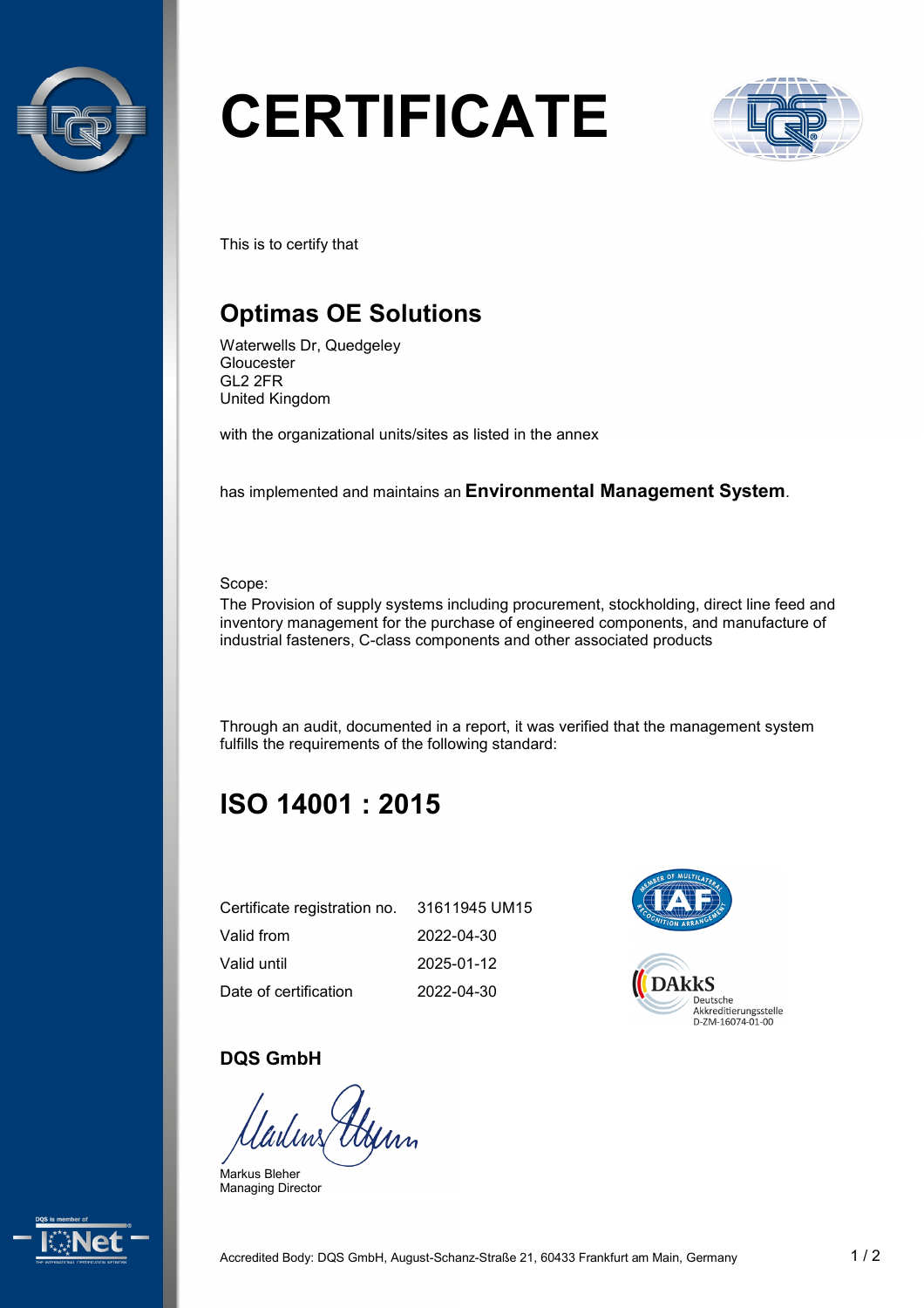

# **CERTIFICATE**



This is to certify that

## **Optimas OE Solutions**

Waterwells Dr, Quedgeley Gloucester GL2 2FR United Kingdom

with the organizational units/sites as listed in the annex

has implemented and maintains an **Environmental Management System**.

Scope:

The Provision of supply systems including procurement, stockholding, direct line feed and inventory management for the purchase of engineered components, and manufacture of industrial fasteners, C-class components and other associated products

Through an audit, documented in a report, it was verified that the management system fulfills the requirements of the following standard:

# **ISO 14001 : 2015**

| Certificate registration no. | 31611945 UM15 |
|------------------------------|---------------|
| Valid from                   | 2022-04-30    |
| Valid until                  | 2025-01-12    |
| Date of certification        | 2022-04-30    |



#### **DQS GmbH**

lws

Markus Bleher Managing Director